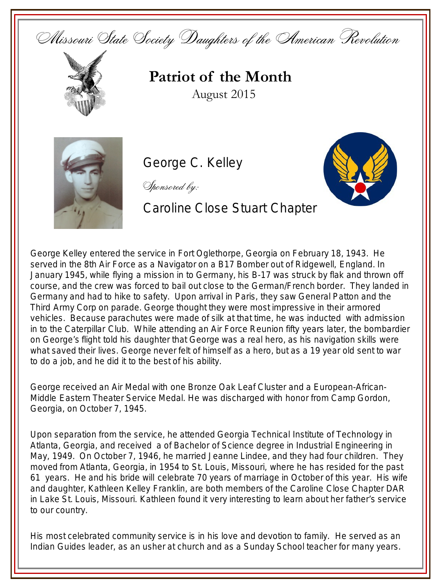Missouri State Society Daughters of the American Revolution



## **Patriot of the Month** August 2015



George C. Kelley

Sponsored by:

Caroline Close Stuart Chapter



George Kelley entered the service in Fort Oglethorpe, Georgia on February 18, 1943. He served in the 8th Air Force as a Navigator on a B17 Bomber out of Ridgewell, England. In January 1945, while flying a mission in to Germany, his B-17 was struck by flak and thrown off course, and the crew was forced to bail out close to the German/French border. They landed in Germany and had to hike to safety. Upon arrival in Paris, they saw General Patton and the Third Army Corp on parade. George thought they were most impressive in their armored vehicles. Because parachutes were made of silk at that time, he was inducted with admission in to the Caterpillar Club. While attending an Air Force Reunion fifty years later, the bombardier on George's flight told his daughter that George was a real hero, as his navigation skills were what saved their lives. George never felt of himself as a hero, but as a 19 year old sent to war to do a job, and he did it to the best of his ability.

George received an Air Medal with one Bronze Oak Leaf Cluster and a European-African-Middle Eastern Theater Service Medal. He was discharged with honor from Camp Gordon, Georgia, on October 7, 1945.

Upon separation from the service, he attended Georgia Technical Institute of Technology in Atlanta, Georgia, and received a of Bachelor of Science degree in Industrial Engineering in May, 1949. On October 7, 1946, he married Jeanne Lindee, and they had four children. They moved from Atlanta, Georgia, in 1954 to St. Louis, Missouri, where he has resided for the past 61 years. He and his bride will celebrate 70 years of marriage in October of this year. His wife and daughter, Kathleen Kelley Franklin, are both members of the Caroline Close Chapter DAR in Lake St. Louis, Missouri. Kathleen found it very interesting to learn about her father's service to our country.

His most celebrated community service is in his love and devotion to family. He served as an Indian Guides leader, as an usher at church and as a Sunday School teacher for many years.